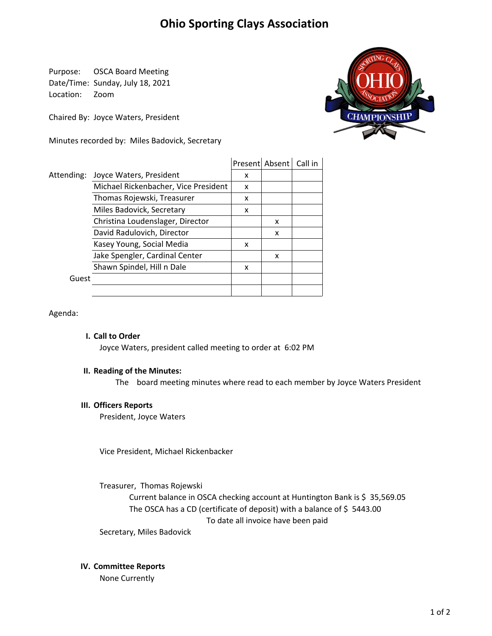# **Ohio Sporting Clays Association**

Purpose: OSCA Board Meeting Date/Time: Sunday, July 18, 2021 Location: Zoom

Chaired By: Joyce Waters, President

Minutes recorded by: Miles Badovick, Secretary



|            |                                      |   | Present Absent Call in |  |
|------------|--------------------------------------|---|------------------------|--|
| Attending: | Joyce Waters, President              | x |                        |  |
|            | Michael Rickenbacher, Vice President | x |                        |  |
|            | Thomas Rojewski, Treasurer           | x |                        |  |
|            | Miles Badovick, Secretary            | x |                        |  |
|            | Christina Loudenslager, Director     |   | x                      |  |
|            | David Radulovich, Director           |   | x                      |  |
|            | Kasey Young, Social Media            | x |                        |  |
|            | Jake Spengler, Cardinal Center       |   | x                      |  |
|            | Shawn Spindel, Hill n Dale           | x |                        |  |
| Guest      |                                      |   |                        |  |
|            |                                      |   |                        |  |

Agenda:

## **I. Call to Order**

Joyce Waters, president called meeting to order at 6:02 PM

## **II. Reading of the Minutes:**

The board meeting minutes where read to each member by Joyce Waters President

#### **III. Officers Reports**

President, Joyce Waters

Vice President, Michael Rickenbacker

Treasurer, Thomas Rojewski

To date all invoice have been paid Current balance in OSCA checking account at Huntington Bank is \$ 35,569.05 The OSCA has a CD (certificate of deposit) with a balance of  $\frac{1}{5}$  5443.00

Secretary, Miles Badovick

#### **IV. Committee Reports**

None Currently